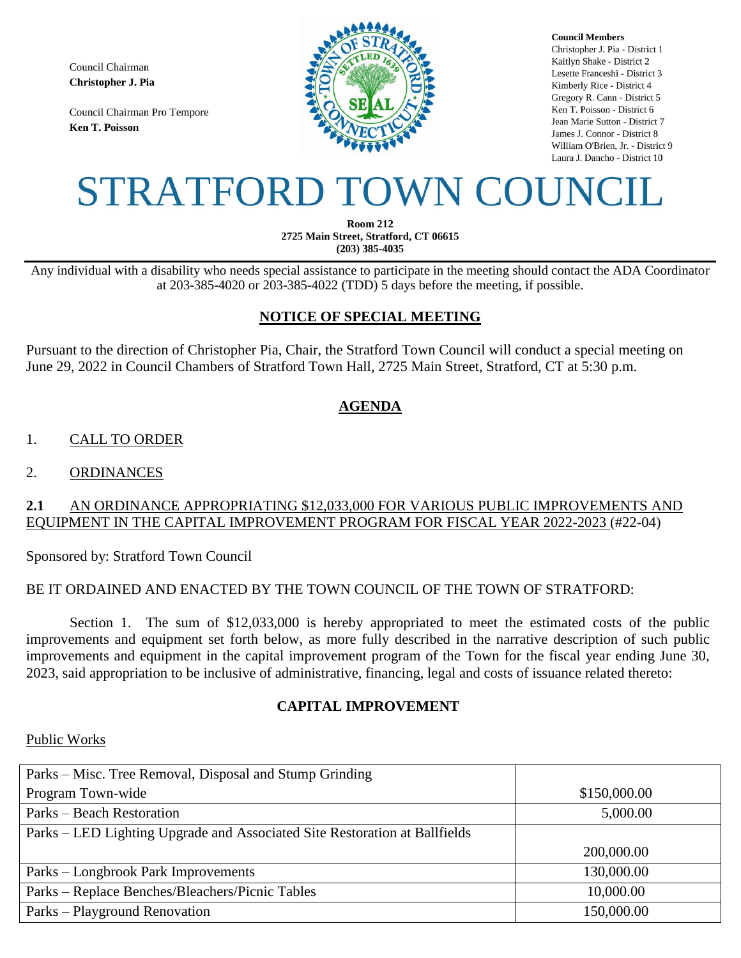Council Chairman Christopher J. Pia

Council Chairman Pro Tempore **Ken T. Poisson** 



**Council Members** Christopher J. Pia - District 1 Kaitlyn Shake - District 2 Lesette Franceshi - District 3 Kimberly Rice - District 4 Gregory R. Cann - District 5 Ken T. Poisson - District 6 Jean Marie Sutton - District 7 James J. Connor - District 8 William O'Brien, Jr. - District 9 Laura J. Dancho - District 10

# STRATFORD TOWN COUNCIL

**Room 212** 2725 Main Street, Stratford, CT 06615  $(203)$  385-4035

Any individual with a disability who needs special assistance to participate in the meeting should contact the ADA Coordinator at 203-385-4020 or 203-385-4022 (TDD) 5 days before the meeting, if possible.

# **NOTICE OF SPECIAL MEETING**

Pursuant to the direction of Christopher Pia, Chair, the Stratford Town Council will conduct a special meeting on June 29, 2022 in Council Chambers of Stratford Town Hall, 2725 Main Street, Stratford, CT at 5:30 p.m.

# **AGENDA**

# 1. CALL TO ORDER

## 2. ORDINANCES

## **2.1** AN ORDINANCE APPROPRIATING \$12,033,000 FOR VARIOUS PUBLIC IMPROVEMENTS AND EQUIPMENT IN THE CAPITAL IMPROVEMENT PROGRAM FOR FISCAL YEAR 2022-2023 (#22-04)

Sponsored by: Stratford Town Council

## BE IT ORDAINED AND ENACTED BY THE TOWN COUNCIL OF THE TOWN OF STRATFORD:

Section 1. The sum of \$12,033,000 is hereby appropriated to meet the estimated costs of the public improvements and equipment set forth below, as more fully described in the narrative description of such public improvements and equipment in the capital improvement program of the Town for the fiscal year ending June 30, 2023, said appropriation to be inclusive of administrative, financing, legal and costs of issuance related thereto:

## **CAPITAL IMPROVEMENT**

#### Public Works

| Parks – Misc. Tree Removal, Disposal and Stump Grinding                    |              |
|----------------------------------------------------------------------------|--------------|
| Program Town-wide                                                          | \$150,000.00 |
| Parks – Beach Restoration                                                  | 5,000.00     |
| Parks – LED Lighting Upgrade and Associated Site Restoration at Ballfields |              |
|                                                                            | 200,000.00   |
| Parks – Longbrook Park Improvements                                        | 130,000.00   |
| Parks – Replace Benches/Bleachers/Picnic Tables                            | 10,000.00    |
| Parks – Playground Renovation                                              | 150,000.00   |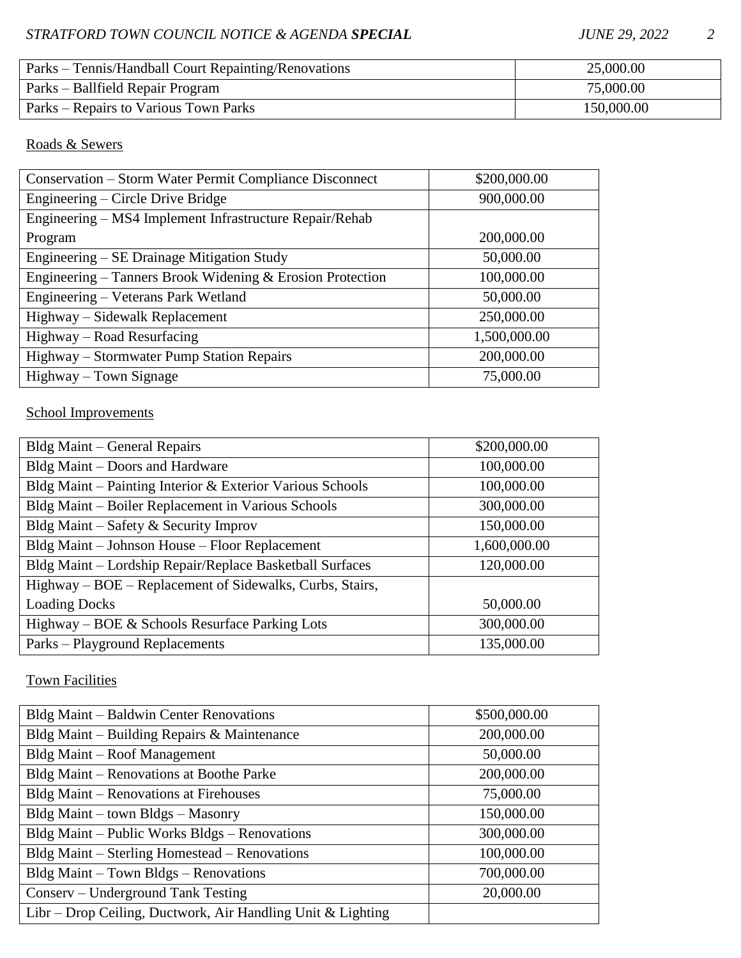| Parks – Tennis/Handball Court Repainting/Renovations | 25,000.00  |
|------------------------------------------------------|------------|
| Parks – Ballfield Repair Program                     | 75,000.00  |
| Parks – Repairs to Various Town Parks                | 150,000.00 |

# Roads & Sewers

| Conservation – Storm Water Permit Compliance Disconnect   | \$200,000.00 |
|-----------------------------------------------------------|--------------|
| Engineering – Circle Drive Bridge                         | 900,000.00   |
| Engineering - MS4 Implement Infrastructure Repair/Rehab   |              |
| Program                                                   | 200,000.00   |
| Engineering – SE Drainage Mitigation Study                | 50,000.00    |
| Engineering – Tanners Brook Widening & Erosion Protection | 100,000.00   |
| Engineering - Veterans Park Wetland                       | 50,000.00    |
| Highway – Sidewalk Replacement                            | 250,000.00   |
| Highway - Road Resurfacing                                | 1,500,000.00 |
| Highway – Stormwater Pump Station Repairs                 | 200,000.00   |
| Highway – Town Signage                                    | 75,000.00    |

# School Improvements

| Bldg Maint – General Repairs                              | \$200,000.00 |
|-----------------------------------------------------------|--------------|
| Bldg Maint – Doors and Hardware                           | 100,000.00   |
| Bldg Maint – Painting Interior & Exterior Various Schools | 100,000.00   |
| Bldg Maint - Boiler Replacement in Various Schools        | 300,000.00   |
| Bldg Maint – Safety & Security Improv                     | 150,000.00   |
| Bldg Maint – Johnson House – Floor Replacement            | 1,600,000.00 |
| Bldg Maint - Lordship Repair/Replace Basketball Surfaces  | 120,000.00   |
| Highway – BOE – Replacement of Sidewalks, Curbs, Stairs,  |              |
| <b>Loading Docks</b>                                      | 50,000.00    |
| Highway – BOE & Schools Resurface Parking Lots            | 300,000.00   |
| Parks – Playground Replacements                           | 135,000.00   |

Town Facilities

| Bldg Maint – Baldwin Center Renovations                     | \$500,000.00 |
|-------------------------------------------------------------|--------------|
| Bldg Maint – Building Repairs & Maintenance                 | 200,000.00   |
| Bldg Maint – Roof Management                                | 50,000.00    |
| Bldg Maint – Renovations at Boothe Parke                    | 200,000.00   |
| Bldg Maint – Renovations at Firehouses                      | 75,000.00    |
| $Bldg$ Maint – town $Bldgs - Masonry$                       | 150,000.00   |
| Bldg Maint – Public Works Bldgs – Renovations               | 300,000.00   |
| Bldg Maint – Sterling Homestead – Renovations               | 100,000.00   |
| Bldg Maint - Town Bldgs - Renovations                       | 700,000.00   |
| Conserv – Underground Tank Testing                          | 20,000.00    |
| Libr – Drop Ceiling, Ductwork, Air Handling Unit & Lighting |              |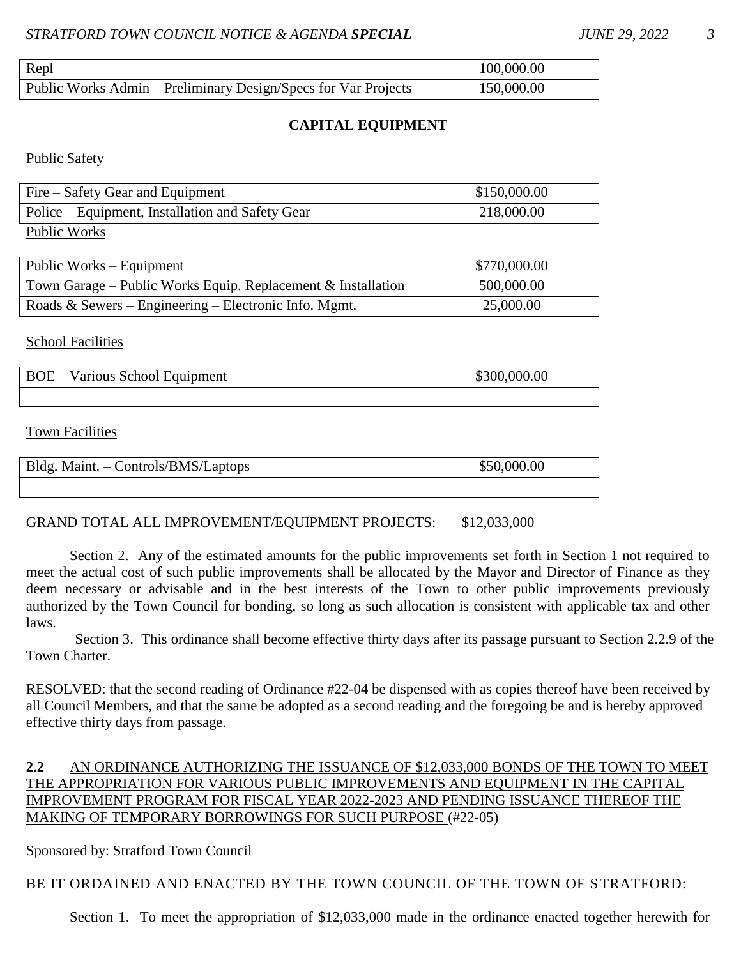| Repl                                                           | 100,000.00 |
|----------------------------------------------------------------|------------|
| Public Works Admin – Preliminary Design/Specs for Var Projects | 150,000.00 |

### **CAPITAL EQUIPMENT**

Public Safety

| Fire – Safety Gear and Equipment                 | \$150,000.00 |
|--------------------------------------------------|--------------|
| Police – Equipment, Installation and Safety Gear | 218,000.00   |
| $T = 111 T T$                                    |              |

Public Works

| Public Works – Equipment                                       | \$770,000.00 |
|----------------------------------------------------------------|--------------|
| Town Garage – Public Works Equip. Replacement $&$ Installation | 500,000.00   |
| Roads & Sewers – Engineering – Electronic Info. Mgmt.          | 25,000.00    |

#### School Facilities

| <b>BOE</b> – Various School Equipment | \$300,000.00 |
|---------------------------------------|--------------|
|                                       |              |

#### Town Facilities

| Bldg. Maint. - Controls/BMS/Laptops | \$50,000.00 |
|-------------------------------------|-------------|
|                                     |             |

#### GRAND TOTAL ALL IMPROVEMENT/EQUIPMENT PROJECTS: \$12,033,000

Section 2. Any of the estimated amounts for the public improvements set forth in Section 1 not required to meet the actual cost of such public improvements shall be allocated by the Mayor and Director of Finance as they deem necessary or advisable and in the best interests of the Town to other public improvements previously authorized by the Town Council for bonding, so long as such allocation is consistent with applicable tax and other laws.

Section 3. This ordinance shall become effective thirty days after its passage pursuant to Section 2.2.9 of the Town Charter.

RESOLVED: that the second reading of Ordinance #22-04 be dispensed with as copies thereof have been received by all Council Members, and that the same be adopted as a second reading and the foregoing be and is hereby approved effective thirty days from passage.

## **2.2** AN ORDINANCE AUTHORIZING THE ISSUANCE OF \$12,033,000 BONDS OF THE TOWN TO MEET THE APPROPRIATION FOR VARIOUS PUBLIC IMPROVEMENTS AND EQUIPMENT IN THE CAPITAL IMPROVEMENT PROGRAM FOR FISCAL YEAR 2022-2023 AND PENDING ISSUANCE THEREOF THE MAKING OF TEMPORARY BORROWINGS FOR SUCH PURPOSE (#22-05)

#### Sponsored by: Stratford Town Council

BE IT ORDAINED AND ENACTED BY THE TOWN COUNCIL OF THE TOWN OF STRATFORD:

Section 1. To meet the appropriation of \$12,033,000 made in the ordinance enacted together herewith for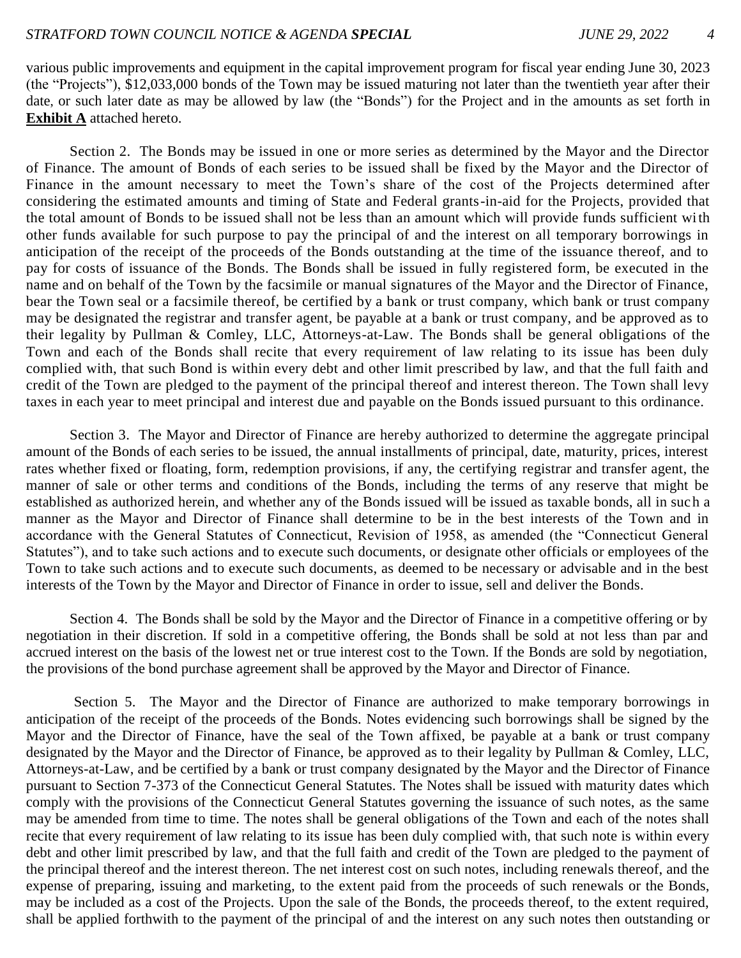various public improvements and equipment in the capital improvement program for fiscal year ending June 30, 2023 (the "Projects"), \$12,033,000 bonds of the Town may be issued maturing not later than the twentieth year after their date, or such later date as may be allowed by law (the "Bonds") for the Project and in the amounts as set forth in **Exhibit A** attached hereto.

Section 2. The Bonds may be issued in one or more series as determined by the Mayor and the Director of Finance. The amount of Bonds of each series to be issued shall be fixed by the Mayor and the Director of Finance in the amount necessary to meet the Town's share of the cost of the Projects determined after considering the estimated amounts and timing of State and Federal grants-in-aid for the Projects, provided that the total amount of Bonds to be issued shall not be less than an amount which will provide funds sufficient with other funds available for such purpose to pay the principal of and the interest on all temporary borrowings in anticipation of the receipt of the proceeds of the Bonds outstanding at the time of the issuance thereof, and to pay for costs of issuance of the Bonds. The Bonds shall be issued in fully registered form, be executed in the name and on behalf of the Town by the facsimile or manual signatures of the Mayor and the Director of Finance, bear the Town seal or a facsimile thereof, be certified by a bank or trust company, which bank or trust company may be designated the registrar and transfer agent, be payable at a bank or trust company, and be approved as to their legality by Pullman & Comley, LLC, Attorneys-at-Law. The Bonds shall be general obligations of the Town and each of the Bonds shall recite that every requirement of law relating to its issue has been duly complied with, that such Bond is within every debt and other limit prescribed by law, and that the full faith and credit of the Town are pledged to the payment of the principal thereof and interest thereon. The Town shall levy taxes in each year to meet principal and interest due and payable on the Bonds issued pursuant to this ordinance.

Section 3. The Mayor and Director of Finance are hereby authorized to determine the aggregate principal amount of the Bonds of each series to be issued, the annual installments of principal, date, maturity, prices, interest rates whether fixed or floating, form, redemption provisions, if any, the certifying registrar and transfer agent, the manner of sale or other terms and conditions of the Bonds, including the terms of any reserve that might be established as authorized herein, and whether any of the Bonds issued will be issued as taxable bonds, all in such a manner as the Mayor and Director of Finance shall determine to be in the best interests of the Town and in accordance with the General Statutes of Connecticut, Revision of 1958, as amended (the "Connecticut General Statutes"), and to take such actions and to execute such documents, or designate other officials or employees of the Town to take such actions and to execute such documents, as deemed to be necessary or advisable and in the best interests of the Town by the Mayor and Director of Finance in order to issue, sell and deliver the Bonds.

Section 4. The Bonds shall be sold by the Mayor and the Director of Finance in a competitive offering or by negotiation in their discretion. If sold in a competitive offering, the Bonds shall be sold at not less than par and accrued interest on the basis of the lowest net or true interest cost to the Town. If the Bonds are sold by negotiation, the provisions of the bond purchase agreement shall be approved by the Mayor and Director of Finance.

Section 5. The Mayor and the Director of Finance are authorized to make temporary borrowings in anticipation of the receipt of the proceeds of the Bonds. Notes evidencing such borrowings shall be signed by the Mayor and the Director of Finance, have the seal of the Town affixed, be payable at a bank or trust company designated by the Mayor and the Director of Finance, be approved as to their legality by Pullman & Comley, LLC, Attorneys-at-Law, and be certified by a bank or trust company designated by the Mayor and the Director of Finance pursuant to Section 7-373 of the Connecticut General Statutes. The Notes shall be issued with maturity dates which comply with the provisions of the Connecticut General Statutes governing the issuance of such notes, as the same may be amended from time to time. The notes shall be general obligations of the Town and each of the notes shall recite that every requirement of law relating to its issue has been duly complied with, that such note is within every debt and other limit prescribed by law, and that the full faith and credit of the Town are pledged to the payment of the principal thereof and the interest thereon. The net interest cost on such notes, including renewals thereof, and the expense of preparing, issuing and marketing, to the extent paid from the proceeds of such renewals or the Bonds, may be included as a cost of the Projects. Upon the sale of the Bonds, the proceeds thereof, to the extent required, shall be applied forthwith to the payment of the principal of and the interest on any such notes then outstanding or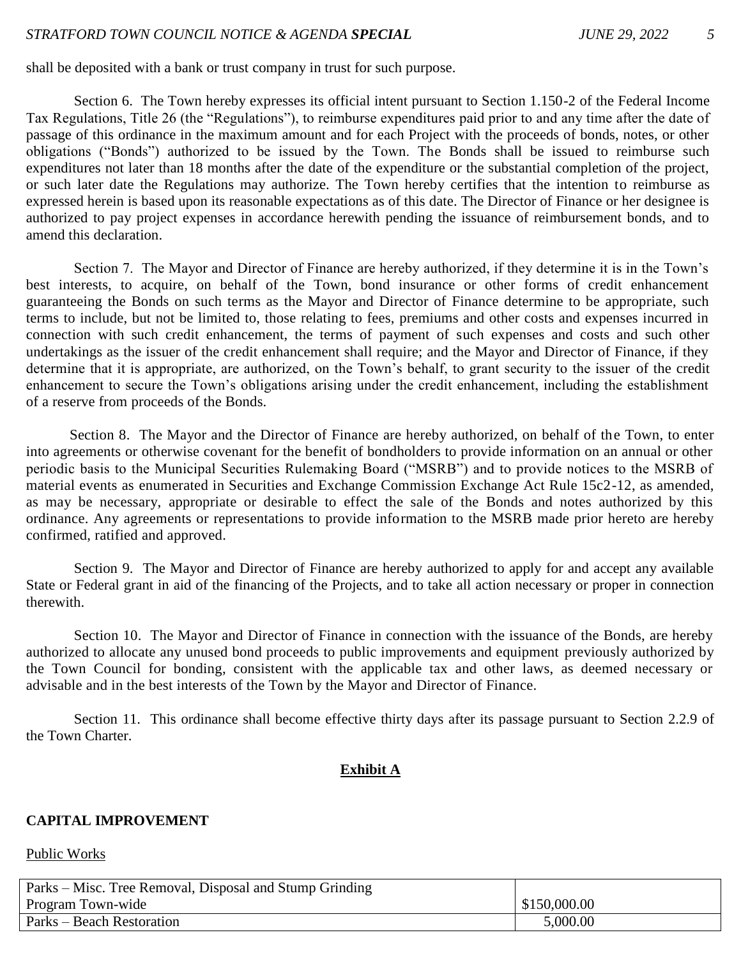shall be deposited with a bank or trust company in trust for such purpose.

Section 6. The Town hereby expresses its official intent pursuant to Section 1.150-2 of the Federal Income Tax Regulations, Title 26 (the "Regulations"), to reimburse expenditures paid prior to and any time after the date of passage of this ordinance in the maximum amount and for each Project with the proceeds of bonds, notes, or other obligations ("Bonds") authorized to be issued by the Town. The Bonds shall be issued to reimburse such expenditures not later than 18 months after the date of the expenditure or the substantial completion of the project, or such later date the Regulations may authorize. The Town hereby certifies that the intention to reimburse as expressed herein is based upon its reasonable expectations as of this date. The Director of Finance or her designee is authorized to pay project expenses in accordance herewith pending the issuance of reimbursement bonds, and to amend this declaration.

Section 7. The Mayor and Director of Finance are hereby authorized, if they determine it is in the Town's best interests, to acquire, on behalf of the Town, bond insurance or other forms of credit enhancement guaranteeing the Bonds on such terms as the Mayor and Director of Finance determine to be appropriate, such terms to include, but not be limited to, those relating to fees, premiums and other costs and expenses incurred in connection with such credit enhancement, the terms of payment of such expenses and costs and such other undertakings as the issuer of the credit enhancement shall require; and the Mayor and Director of Finance, if they determine that it is appropriate, are authorized, on the Town's behalf, to grant security to the issuer of the credit enhancement to secure the Town's obligations arising under the credit enhancement, including the establishment of a reserve from proceeds of the Bonds.

Section 8. The Mayor and the Director of Finance are hereby authorized, on behalf of the Town, to enter into agreements or otherwise covenant for the benefit of bondholders to provide information on an annual or other periodic basis to the Municipal Securities Rulemaking Board ("MSRB") and to provide notices to the MSRB of material events as enumerated in Securities and Exchange Commission Exchange Act Rule 15c2-12, as amended, as may be necessary, appropriate or desirable to effect the sale of the Bonds and notes authorized by this ordinance. Any agreements or representations to provide information to the MSRB made prior hereto are hereby confirmed, ratified and approved.

Section 9. The Mayor and Director of Finance are hereby authorized to apply for and accept any available State or Federal grant in aid of the financing of the Projects, and to take all action necessary or proper in connection therewith.

Section 10. The Mayor and Director of Finance in connection with the issuance of the Bonds, are hereby authorized to allocate any unused bond proceeds to public improvements and equipment previously authorized by the Town Council for bonding, consistent with the applicable tax and other laws, as deemed necessary or advisable and in the best interests of the Town by the Mayor and Director of Finance.

Section 11. This ordinance shall become effective thirty days after its passage pursuant to Section 2.2.9 of the Town Charter.

#### **Exhibit A**

#### **CAPITAL IMPROVEMENT**

#### Public Works

| Parks – Misc. Tree Removal, Disposal and Stump Grinding |              |
|---------------------------------------------------------|--------------|
| Program Town-wide                                       | \$150,000.00 |
| <b>Parks</b> – Beach Restoration                        | 5,000.00     |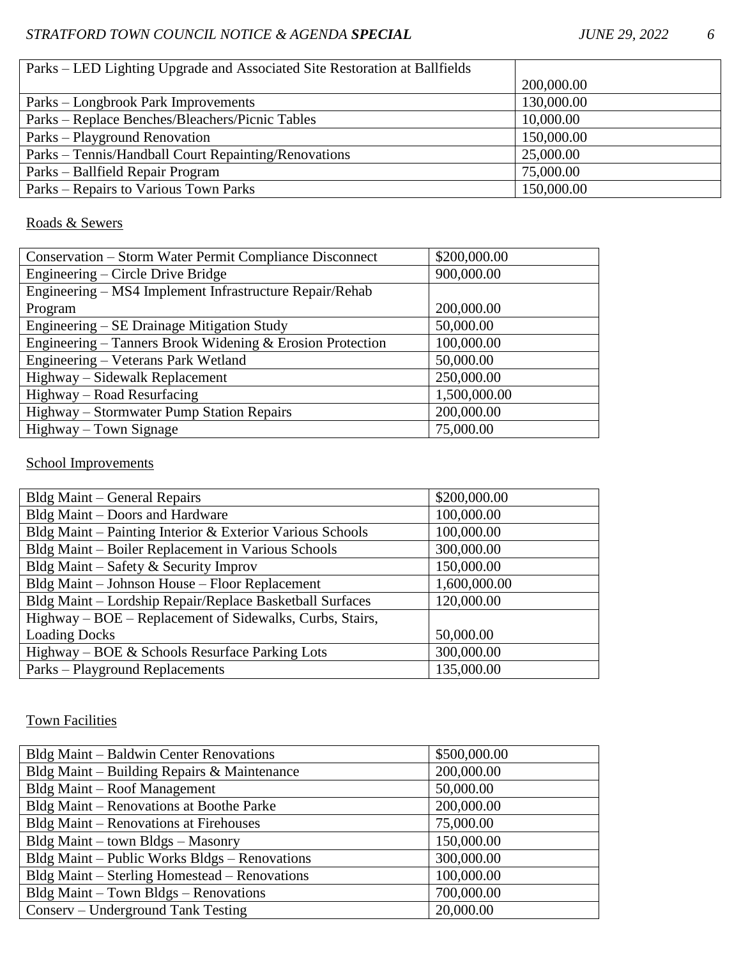| Parks – LED Lighting Upgrade and Associated Site Restoration at Ballfields |            |
|----------------------------------------------------------------------------|------------|
|                                                                            | 200,000.00 |
| Parks – Longbrook Park Improvements                                        | 130,000.00 |
| Parks – Replace Benches/Bleachers/Picnic Tables                            | 10,000.00  |
| Parks – Playground Renovation                                              | 150,000.00 |
| Parks – Tennis/Handball Court Repainting/Renovations                       | 25,000.00  |
| Parks – Ballfield Repair Program                                           | 75,000.00  |
| Parks – Repairs to Various Town Parks                                      | 150,000.00 |

# Roads & Sewers

| <b>Conservation – Storm Water Permit Compliance Disconnect</b> | \$200,000.00 |
|----------------------------------------------------------------|--------------|
| Engineering – Circle Drive Bridge                              | 900,000.00   |
| Engineering – MS4 Implement Infrastructure Repair/Rehab        |              |
| Program                                                        | 200,000.00   |
| Engineering – SE Drainage Mitigation Study                     | 50,000.00    |
| Engineering – Tanners Brook Widening & Erosion Protection      | 100,000.00   |
| Engineering - Veterans Park Wetland                            | 50,000.00    |
| Highway – Sidewalk Replacement                                 | 250,000.00   |
| Highway – Road Resurfacing                                     | 1,500,000.00 |
| Highway – Stormwater Pump Station Repairs                      | 200,000.00   |
| Highway – Town Signage                                         | 75,000.00    |

# School Improvements

| Bldg Maint – General Repairs                              | \$200,000.00 |
|-----------------------------------------------------------|--------------|
| Bldg Maint – Doors and Hardware                           | 100,000.00   |
| Bldg Maint – Painting Interior & Exterior Various Schools | 100,000.00   |
| Bldg Maint - Boiler Replacement in Various Schools        | 300,000.00   |
| Bldg Maint – Safety & Security Improv                     | 150,000.00   |
| Bldg Maint - Johnson House - Floor Replacement            | 1,600,000.00 |
| Bldg Maint - Lordship Repair/Replace Basketball Surfaces  | 120,000.00   |
| Highway – BOE – Replacement of Sidewalks, Curbs, Stairs,  |              |
| <b>Loading Docks</b>                                      | 50,000.00    |
| Highway – BOE & Schools Resurface Parking Lots            | 300,000.00   |
| Parks – Playground Replacements                           | 135,000.00   |

# Town Facilities

| Bldg Maint - Baldwin Center Renovations       | \$500,000.00 |
|-----------------------------------------------|--------------|
| Bldg Maint – Building Repairs & Maintenance   | 200,000.00   |
| Bldg Maint – Roof Management                  | 50,000.00    |
| Bldg Maint – Renovations at Boothe Parke      | 200,000.00   |
| Bldg Maint – Renovations at Firehouses        | 75,000.00    |
| Bldg Maint – town Bldgs – Masonry             | 150,000.00   |
| Bldg Maint – Public Works Bldgs – Renovations | 300,000.00   |
| Bldg Maint – Sterling Homestead – Renovations | 100,000.00   |
| Bldg Maint – Town Bldgs – Renovations         | 700,000.00   |
| Conserv – Underground Tank Testing            | 20,000.00    |